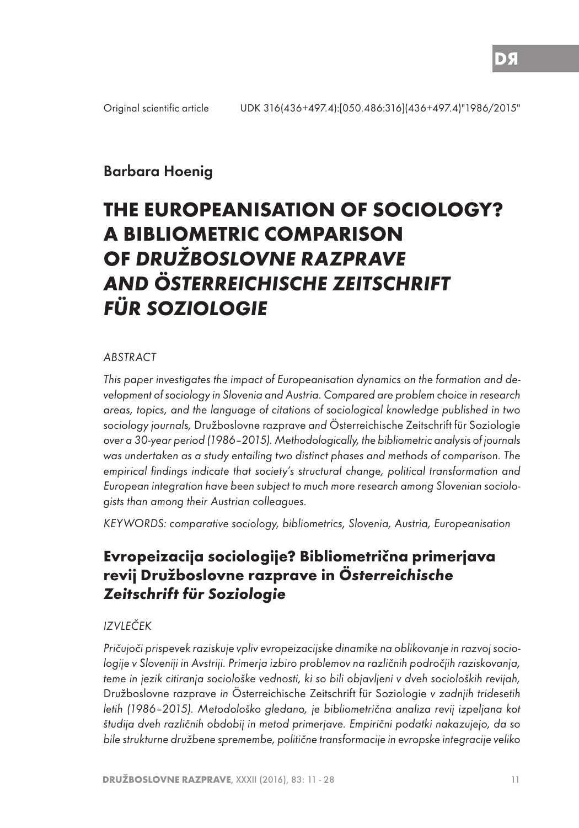# Barbara Hoenig

# **THE EUROPEANISATION OF SOCIOLOGY? A BIBLIOMETRIC COMPARISON OF DRUŽBOSLOVNE RAZPRAVE AND ÖSTERREICHISCHE ZEITSCHRIFT FÜR SOZIOLOGIE**

#### ABSTRACT

This paper investigates the impact of Europeanisation dynamics on the formation and development of sociology in Slovenia and Austria. Compared are problem choice in research areas, topics, and the language of citations of sociological knowledge published in two sociology journals, Družboslovne razprave and Österreichische Zeitschrift für Soziologie over a 30-year period (1986–2015). Methodologically, the bibliometric analysis of journals was undertaken as a study entailing two distinct phases and methods of comparison. The empirical findings indicate that society's structural change, political transformation and European integration have been subject to much more research among Slovenian sociologists than among their Austrian colleagues.

KEYWORDS: comparative sociology, bibliometrics, Slovenia, Austria, Europeanisation

# **Evropeizacija sociologije? Bibliometrična primerjava revij Družboslovne razprave in Österreichische Zeitschrift für Soziologie**

#### IZVLEČEK

Pričujoči prispevek raziskuje vpliv evropeizacijske dinamike na oblikovanje in razvoj sociologije v Sloveniji in Avstriji. Primerja izbiro problemov na različnih področjih raziskovanja, teme in jezik citiranja sociološke vednosti, ki so bili objavljeni v dveh socioloških revijah, Družboslovne razprave in Österreichische Zeitschrift für Soziologie v zadnjih tridesetih letih (1986–2015). Metodološko gledano, je bibliometrična analiza revij izpeljana kot študija dveh različnih obdobij in metod primerjave. Empirični podatki nakazujejo, da so bile strukturne družbene spremembe, politične transformacije in evropske integracije veliko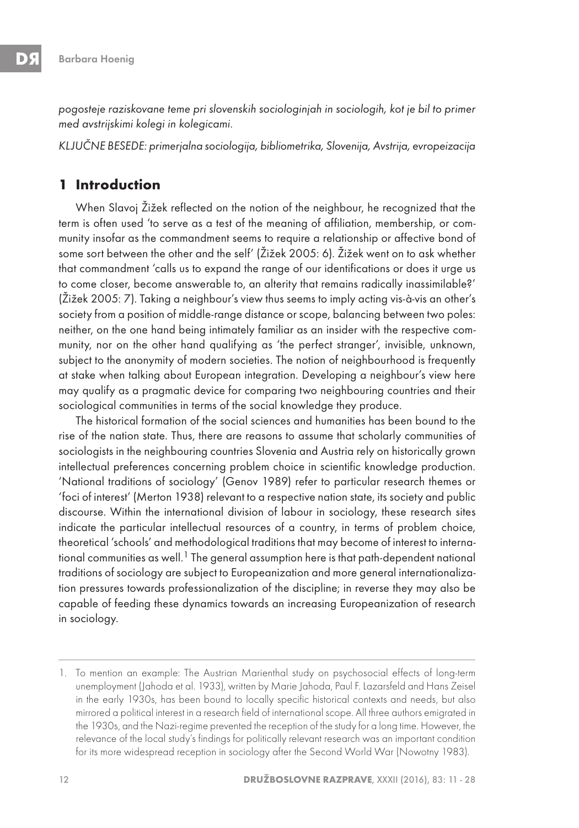pogosteje raziskovane teme pri slovenskih sociologinjah in sociologih, kot je bil to primer med avstrijskimi kolegi in kolegicami.

KLJUČNE BESEDE: primerjalna sociologija, bibliometrika, Slovenija, Avstrija, evropeizacija

### **1 Introduction**

When Slavoj Žižek reflected on the notion of the neighbour, he recognized that the term is often used 'to serve as a test of the meaning of affiliation, membership, or community insofar as the commandment seems to require a relationship or affective bond of some sort between the other and the self' (Žižek 2005: 6). Žižek went on to ask whether that commandment 'calls us to expand the range of our identifications or does it urge us to come closer, become answerable to, an alterity that remains radically inassimilable?' (Žižek 2005: 7). Taking a neighbour's view thus seems to imply acting vis-à-vis an other's society from a position of middle-range distance or scope, balancing between two poles: neither, on the one hand being intimately familiar as an insider with the respective community, nor on the other hand qualifying as 'the perfect stranger', invisible, unknown, subject to the anonymity of modern societies. The notion of neighbourhood is frequently at stake when talking about European integration. Developing a neighbour's view here may qualify as a pragmatic device for comparing two neighbouring countries and their sociological communities in terms of the social knowledge they produce.

The historical formation of the social sciences and humanities has been bound to the rise of the nation state. Thus, there are reasons to assume that scholarly communities of sociologists in the neighbouring countries Slovenia and Austria rely on historically grown intellectual preferences concerning problem choice in scientific knowledge production. 'National traditions of sociology' (Genov 1989) refer to particular research themes or 'foci of interest' (Merton 1938) relevant to a respective nation state, its society and public discourse. Within the international division of labour in sociology, these research sites indicate the particular intellectual resources of a country, in terms of problem choice, theoretical 'schools' and methodological traditions that may become of interest to international communities as well.<sup>1</sup> The general assumption here is that path-dependent national traditions of sociology are subject to Europeanization and more general internationalization pressures towards professionalization of the discipline; in reverse they may also be capable of feeding these dynamics towards an increasing Europeanization of research in sociology.

<sup>1.</sup> To mention an example: The Austrian Marienthal study on psychosocial effects of long-term unemployment (Jahoda et al. 1933), written by Marie Jahoda, Paul F. Lazarsfeld and Hans Zeisel in the early 1930s, has been bound to locally specific historical contexts and needs, but also mirrored a political interest in a research field of international scope. All three authors emigrated in the 1930s, and the Nazi-regime prevented the reception of the study for a long time. However, the relevance of the local study's findings for politically relevant research was an important condition for its more widespread reception in sociology after the Second World War (Nowotny 1983).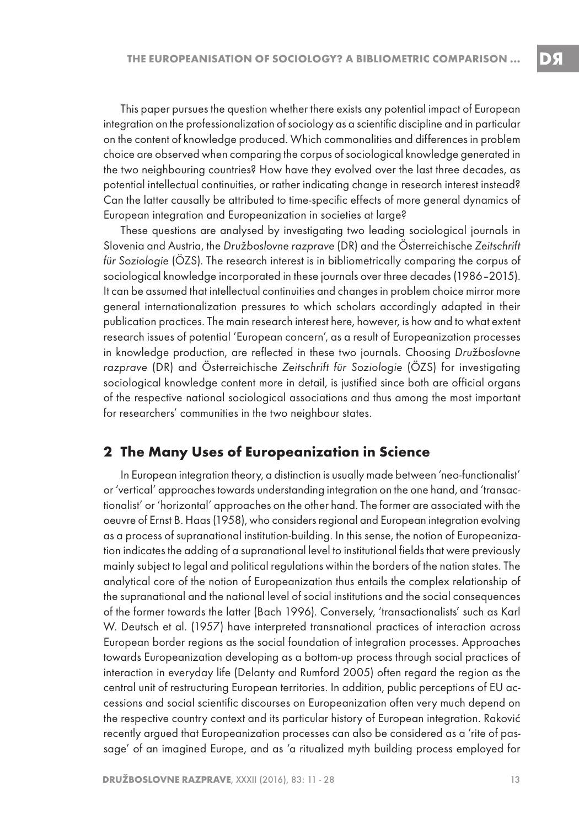This paper pursues the question whether there exists any potential impact of European integration on the professionalization of sociology as a scientific discipline and in particular on the content of knowledge produced. Which commonalities and differences in problem choice are observed when comparing the corpus of sociological knowledge generated in the two neighbouring countries? How have they evolved over the last three decades, as potential intellectual continuities, or rather indicating change in research interest instead? Can the latter causally be attributed to time-specific effects of more general dynamics of European integration and Europeanization in societies at large?

These questions are analysed by investigating two leading sociological journals in Slovenia and Austria, the Družboslovne razprave (DR) and the Österreichische Zeitschrift für Soziologie (ÖZS). The research interest is in bibliometrically comparing the corpus of sociological knowledge incorporated in these journals over three decades (1986–2015). It can be assumed that intellectual continuities and changes in problem choice mirror more general internationalization pressures to which scholars accordingly adapted in their publication practices. The main research interest here, however, is how and to what extent research issues of potential 'European concern', as a result of Europeanization processes in knowledge production, are reflected in these two journals. Choosing Družboslovne razprave (DR) and Österreichische Zeitschrift für Soziologie (ÖZS) for investigating sociological knowledge content more in detail, is justified since both are official organs of the respective national sociological associations and thus among the most important for researchers' communities in the two neighbour states.

#### **2 The Many Uses of Europeanization in Science**

In European integration theory, a distinction is usually made between 'neo-functionalist' or 'vertical' approaches towards understanding integration on the one hand, and 'transactionalist' or 'horizontal' approaches on the other hand. The former are associated with the oeuvre of Ernst B. Haas (1958), who considers regional and European integration evolving as a process of supranational institution-building. In this sense, the notion of Europeanization indicates the adding of a supranational level to institutional fields that were previously mainly subject to legal and political regulations within the borders of the nation states. The analytical core of the notion of Europeanization thus entails the complex relationship of the supranational and the national level of social institutions and the social consequences of the former towards the latter (Bach 1996). Conversely, 'transactionalists' such as Karl W. Deutsch et al. (1957) have interpreted transnational practices of interaction across European border regions as the social foundation of integration processes. Approaches towards Europeanization developing as a bottom-up process through social practices of interaction in everyday life (Delanty and Rumford 2005) often regard the region as the central unit of restructuring European territories. In addition, public perceptions of EU accessions and social scientific discourses on Europeanization often very much depend on the respective country context and its particular history of European integration. Raković recently argued that Europeanization processes can also be considered as a 'rite of passage' of an imagined Europe, and as 'a ritualized myth building process employed for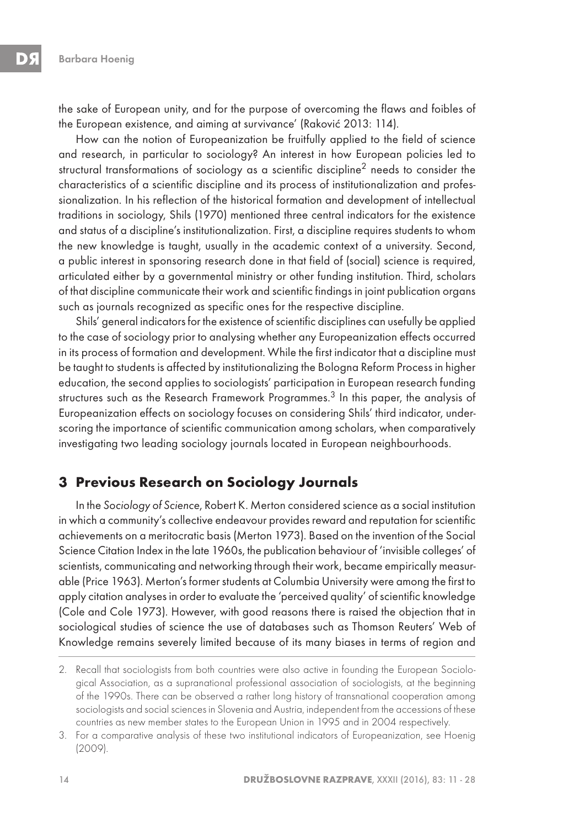the sake of European unity, and for the purpose of overcoming the flaws and foibles of the European existence, and aiming at survivance' (Raković 2013: 114).

How can the notion of Europeanization be fruitfully applied to the field of science and research, in particular to sociology? An interest in how European policies led to structural transformations of sociology as a scientific discipline<sup>2</sup> needs to consider the characteristics of a scientific discipline and its process of institutionalization and professionalization. In his reflection of the historical formation and development of intellectual traditions in sociology, Shils (1970) mentioned three central indicators for the existence and status of a discipline's institutionalization. First, a discipline requires students to whom the new knowledge is taught, usually in the academic context of a university. Second, a public interest in sponsoring research done in that field of (social) science is required, articulated either by a governmental ministry or other funding institution. Third, scholars of that discipline communicate their work and scientific findings in joint publication organs such as journals recognized as specific ones for the respective discipline.

Shils' general indicators for the existence of scientific disciplines can usefully be applied to the case of sociology prior to analysing whether any Europeanization effects occurred in its process of formation and development. While the first indicator that a discipline must be taught to students is affected by institutionalizing the Bologna Reform Process in higher education, the second applies to sociologists' participation in European research funding structures such as the Research Framework Programmes.<sup>3</sup> In this paper, the analysis of Europeanization effects on sociology focuses on considering Shils' third indicator, underscoring the importance of scientific communication among scholars, when comparatively investigating two leading sociology journals located in European neighbourhoods.

### **3 Previous Research on Sociology Journals**

In the Sociology of Science, Robert K. Merton considered science as a social institution in which a community's collective endeavour provides reward and reputation for scientific achievements on a meritocratic basis (Merton 1973). Based on the invention of the Social Science Citation Index in the late 1960s, the publication behaviour of 'invisible colleges' of scientists, communicating and networking through their work, became empirically measurable (Price 1963). Merton's former students at Columbia University were among the first to apply citation analyses in order to evaluate the 'perceived quality' of scientific knowledge (Cole and Cole 1973). However, with good reasons there is raised the objection that in sociological studies of science the use of databases such as Thomson Reuters' Web of Knowledge remains severely limited because of its many biases in terms of region and

<sup>2.</sup> Recall that sociologists from both countries were also active in founding the European Sociological Association, as a supranational professional association of sociologists, at the beginning of the 1990s. There can be observed a rather long history of transnational cooperation among sociologists and social sciences in Slovenia and Austria, independent from the accessions of these countries as new member states to the European Union in 1995 and in 2004 respectively.

<sup>3.</sup> For a comparative analysis of these two institutional indicators of Europeanization, see Hoenig (2009).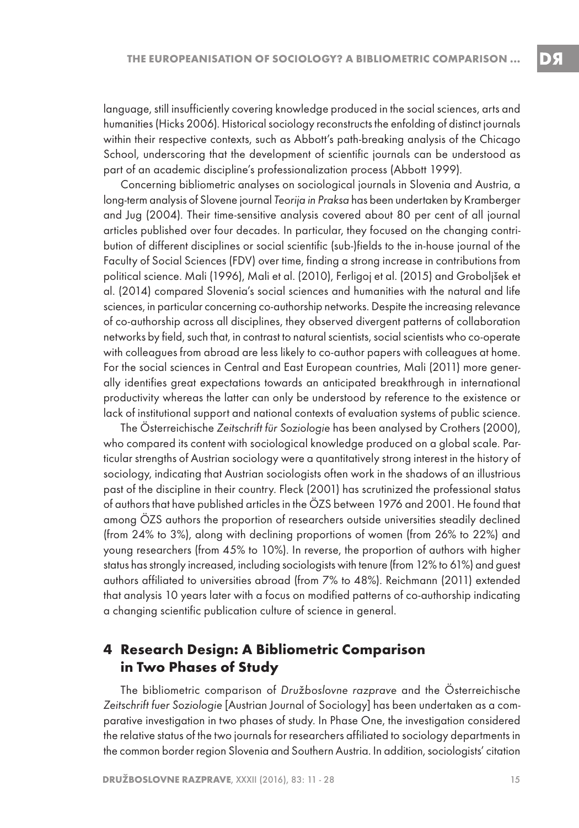language, still insufficiently covering knowledge produced in the social sciences, arts and humanities (Hicks 2006). Historical sociology reconstructs the enfolding of distinct journals within their respective contexts, such as Abbott's path-breaking analysis of the Chicago School, underscoring that the development of scientific journals can be understood as part of an academic discipline's professionalization process (Abbott 1999).

Concerning bibliometric analyses on sociological journals in Slovenia and Austria, a long-term analysis of Slovene journal Teorija in Praksa has been undertaken by Kramberger and Jug (2004). Their time-sensitive analysis covered about 80 per cent of all journal articles published over four decades. In particular, they focused on the changing contribution of different disciplines or social scientific (sub-)fields to the in-house journal of the Faculty of Social Sciences (FDV) over time, finding a strong increase in contributions from political science. Mali (1996), Mali et al. (2010), Ferligoj et al. (2015) and Groboljšek et al. (2014) compared Slovenia's social sciences and humanities with the natural and life sciences, in particular concerning co-authorship networks. Despite the increasing relevance of co-authorship across all disciplines, they observed divergent patterns of collaboration networks by field, such that, in contrast to natural scientists, social scientists who co-operate with colleagues from abroad are less likely to co-author papers with colleagues at home. For the social sciences in Central and East European countries, Mali (2011) more generally identifies great expectations towards an anticipated breakthrough in international productivity whereas the latter can only be understood by reference to the existence or lack of institutional support and national contexts of evaluation systems of public science.

The Österreichische Zeitschrift für Soziologie has been analysed by Crothers (2000), who compared its content with sociological knowledge produced on a global scale. Particular strengths of Austrian sociology were a quantitatively strong interest in the history of sociology, indicating that Austrian sociologists often work in the shadows of an illustrious past of the discipline in their country. Fleck (2001) has scrutinized the professional status of authors that have published articles in the ÖZS between 1976 and 2001. He found that among ÖZS authors the proportion of researchers outside universities steadily declined (from 24% to 3%), along with declining proportions of women (from 26% to 22%) and young researchers (from 45% to 10%). In reverse, the proportion of authors with higher status has strongly increased, including sociologists with tenure (from 12% to 61%) and guest authors affiliated to universities abroad (from 7% to 48%). Reichmann (2011) extended that analysis 10 years later with a focus on modified patterns of co-authorship indicating a changing scientific publication culture of science in general.

#### **4 Research Design: A Bibliometric Comparison in Two Phases of Study**

The bibliometric comparison of Družboslovne razprave and the Österreichische Zeitschrift fuer Soziologie [Austrian Journal of Sociology] has been undertaken as a comparative investigation in two phases of study. In Phase One, the investigation considered the relative status of the two journals for researchers affiliated to sociology departments in the common border region Slovenia and Southern Austria. In addition, sociologists' citation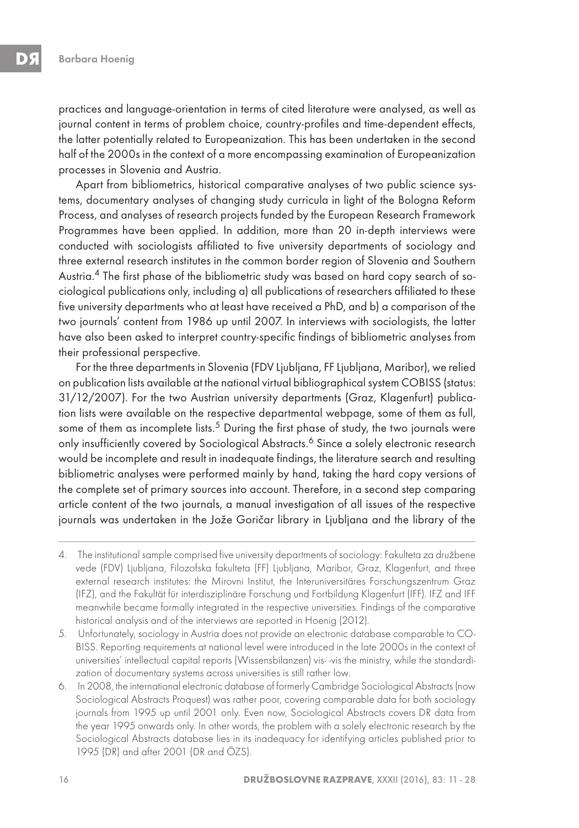practices and language-orientation in terms of cited literature were analysed, as well as journal content in terms of problem choice, country-profiles and time-dependent effects, the latter potentially related to Europeanization. This has been undertaken in the second half of the 2000s in the context of a more encompassing examination of Europeanization processes in Slovenia and Austria.

Apart from bibliometrics, historical comparative analyses of two public science systems, documentary analyses of changing study curricula in light of the Bologna Reform Process, and analyses of research projects funded by the European Research Framework Programmes have been applied. In addition, more than 20 in-depth interviews were conducted with sociologists affiliated to five university departments of sociology and three external research institutes in the common border region of Slovenia and Southern Austria.4 The first phase of the bibliometric study was based on hard copy search of sociological publications only, including a) all publications of researchers affiliated to these five university departments who at least have received a PhD, and b) a comparison of the two journals' content from 1986 up until 2007. In interviews with sociologists, the latter have also been asked to interpret country-specific findings of bibliometric analyses from their professional perspective.

For the three departments in Slovenia (FDV Ljubljana, FF Ljubljana, Maribor), we relied on publication lists available at the national virtual bibliographical system COBISS (status: 31/12/2007). For the two Austrian university departments (Graz, Klagenfurt) publication lists were available on the respective departmental webpage, some of them as full, some of them as incomplete lists.<sup>5</sup> During the first phase of study, the two journals were only insufficiently covered by Sociological Abstracts.<sup>6</sup> Since a solely electronic research would be incomplete and result in inadequate findings, the literature search and resulting bibliometric analyses were performed mainly by hand, taking the hard copy versions of the complete set of primary sources into account. Therefore, in a second step comparing article content of the two journals, a manual investigation of all issues of the respective journals was undertaken in the Jože Goričar library in Ljubljana and the library of the

<sup>4.</sup>  The institutional sample comprised five university departments of sociology: Fakulteta za družbene vede (FDV) Ljubljana, Filozofska fakulteta (FF) Ljubljana, Maribor, Graz, Klagenfurt, and three external research institutes: the Mirovni Institut, the Interuniversitäres Forschungszentrum Graz (IFZ), and the Fakultät für interdisziplinäre Forschung und Fortbildung Klagenfurt (IFF). IFZ and IFF meanwhile became formally integrated in the respective universities. Findings of the comparative historical analysis and of the interviews are reported in Hoenig (2012).

<sup>5.</sup> Unfortunately, sociology in Austria does not provide an electronic database comparable to CO-BISS. Reporting requirements at national level were introduced in the late 2000s in the context of universities' intellectual capital reports (Wissensbilanzen) vis--vis the ministry, while the standardization of documentary systems across universities is still rather low.

<sup>6.</sup> In 2008, the international electronic database of formerly Cambridge Sociological Abstracts (now Sociological Abstracts Proquest) was rather poor, covering comparable data for both sociology journals from 1995 up until 2001 only. Even now, Sociological Abstracts covers DR data from the year 1995 onwards only. In other words, the problem with a solely electronic research by the Sociological Abstracts database lies in its inadequacy for identifying articles published prior to 1995 (DR) and after 2001 (DR and ÖZS).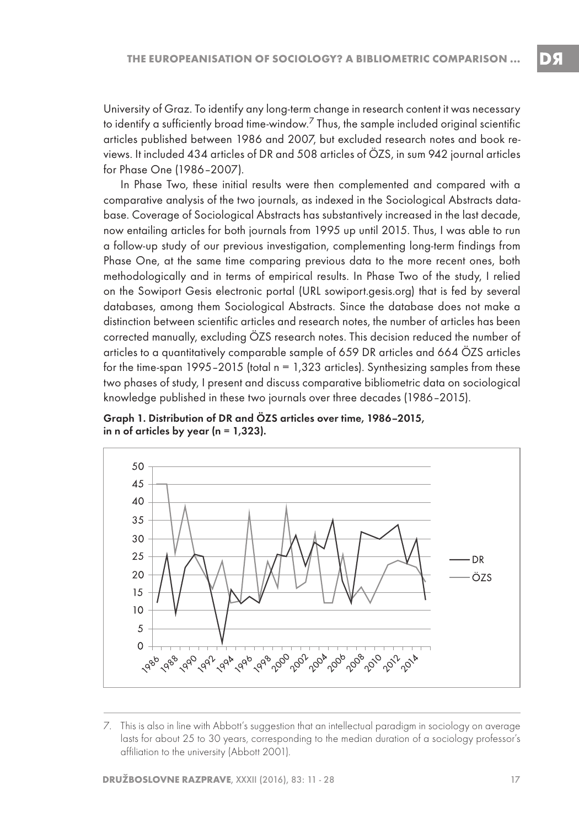University of Graz. To identify any long-term change in research content it was necessary to identify a sufficiently broad time-window.<sup>7</sup> Thus, the sample included original scientific articles published between 1986 and 2007, but excluded research notes and book reviews. It included 434 articles of DR and 508 articles of ÖZS, in sum 942 journal articles for Phase One (1986–2007).

In Phase Two, these initial results were then complemented and compared with a comparative analysis of the two journals, as indexed in the Sociological Abstracts database. Coverage of Sociological Abstracts has substantively increased in the last decade, now entailing articles for both journals from 1995 up until 2015. Thus, I was able to run a follow-up study of our previous investigation, complementing long-term findings from Phase One, at the same time comparing previous data to the more recent ones, both methodologically and in terms of empirical results. In Phase Two of the study, I relied on the Sowiport Gesis electronic portal (URL sowiport.gesis.org) that is fed by several databases, among them Sociological Abstracts. Since the database does not make a distinction between scientific articles and research notes, the number of articles has been corrected manually, excluding ÖZS research notes. This decision reduced the number of articles to a quantitatively comparable sample of 659 DR articles and 664 ÖZS articles for the time-span  $1995-2015$  (total  $n = 1,323$  articles). Synthesizing samples from these two phases of study, I present and discuss comparative bibliometric data on sociological knowledge published in these two journals over three decades (1986–2015).





<sup>7.</sup> This is also in line with Abbott's suggestion that an intellectual paradigm in sociology on average lasts for about 25 to 30 years, corresponding to the median duration of a sociology professor's affiliation to the university (Abbott 2001).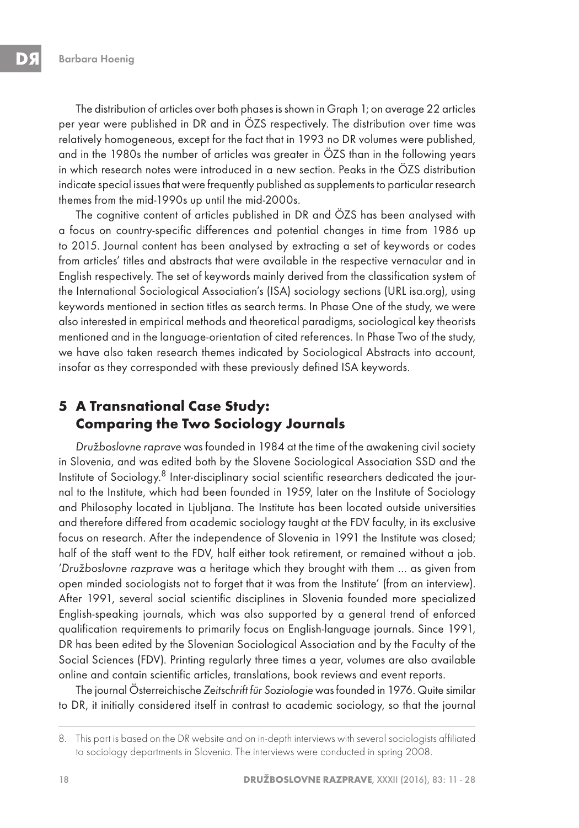The distribution of articles over both phases is shown in Graph 1; on average 22 articles per year were published in DR and in ÖZS respectively. The distribution over time was relatively homogeneous, except for the fact that in 1993 no DR volumes were published, and in the 1980s the number of articles was greater in ÖZS than in the following years in which research notes were introduced in a new section. Peaks in the ÖZS distribution indicate special issues that were frequently published as supplements to particular research themes from the mid-1990s up until the mid-2000s.

The cognitive content of articles published in DR and ÖZS has been analysed with a focus on country-specific differences and potential changes in time from 1986 up to 2015. Journal content has been analysed by extracting a set of keywords or codes from articles' titles and abstracts that were available in the respective vernacular and in English respectively. The set of keywords mainly derived from the classification system of the International Sociological Association's (ISA) sociology sections (URL isa.org), using keywords mentioned in section titles as search terms. In Phase One of the study, we were also interested in empirical methods and theoretical paradigms, sociological key theorists mentioned and in the language-orientation of cited references. In Phase Two of the study, we have also taken research themes indicated by Sociological Abstracts into account, insofar as they corresponded with these previously defined ISA keywords.

# **5 A Transnational Case Study: Comparing the Two Sociology Journals**

Družboslovne raprave was founded in 1984 at the time of the awakening civil society in Slovenia, and was edited both by the Slovene Sociological Association SSD and the Institute of Sociology.8 Inter-disciplinary social scientific researchers dedicated the journal to the Institute, which had been founded in 1959, later on the Institute of Sociology and Philosophy located in Ljubljana. The Institute has been located outside universities and therefore differed from academic sociology taught at the FDV faculty, in its exclusive focus on research. After the independence of Slovenia in 1991 the Institute was closed; half of the staff went to the FDV, half either took retirement, or remained without a job. 'Družboslovne razprave was a heritage which they brought with them … as given from open minded sociologists not to forget that it was from the Institute' (from an interview). After 1991, several social scientific disciplines in Slovenia founded more specialized English-speaking journals, which was also supported by a general trend of enforced qualification requirements to primarily focus on English-language journals. Since 1991, DR has been edited by the Slovenian Sociological Association and by the Faculty of the Social Sciences (FDV). Printing regularly three times a year, volumes are also available online and contain scientific articles, translations, book reviews and event reports.

The journal Österreichische Zeitschrift für Soziologie was founded in 1976. Quite similar to DR, it initially considered itself in contrast to academic sociology, so that the journal

<sup>8.</sup> This part is based on the DR website and on in-depth interviews with several sociologists affiliated to sociology departments in Slovenia. The interviews were conducted in spring 2008.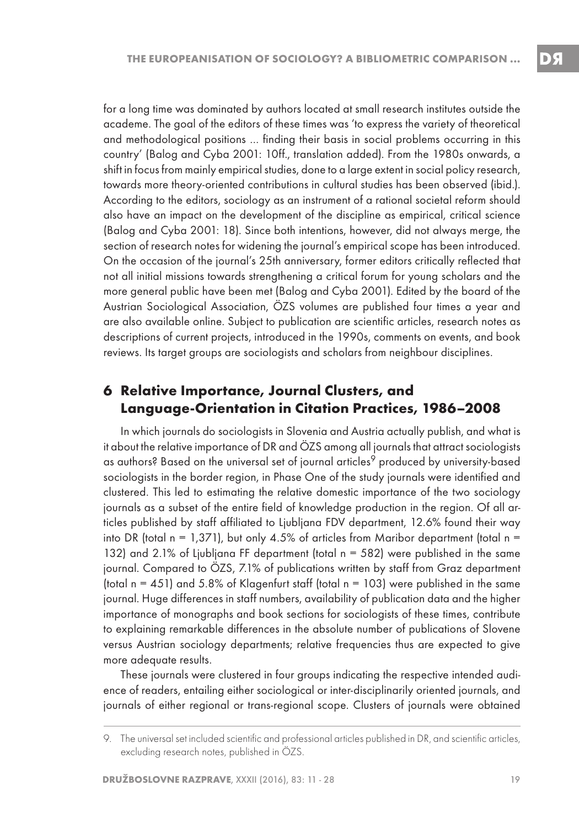for a long time was dominated by authors located at small research institutes outside the academe. The goal of the editors of these times was 'to express the variety of theoretical and methodological positions … finding their basis in social problems occurring in this country' (Balog and Cyba 2001: 10ff., translation added). From the 1980s onwards, a shift in focus from mainly empirical studies, done to a large extent in social policy research, towards more theory-oriented contributions in cultural studies has been observed (ibid.). According to the editors, sociology as an instrument of a rational societal reform should also have an impact on the development of the discipline as empirical, critical science (Balog and Cyba 2001: 18). Since both intentions, however, did not always merge, the section of research notes for widening the journal's empirical scope has been introduced. On the occasion of the journal's 25th anniversary, former editors critically reflected that not all initial missions towards strengthening a critical forum for young scholars and the more general public have been met (Balog and Cyba 2001). Edited by the board of the Austrian Sociological Association, ÖZS volumes are published four times a year and are also available online. Subject to publication are scientific articles, research notes as descriptions of current projects, introduced in the 1990s, comments on events, and book reviews. Its target groups are sociologists and scholars from neighbour disciplines.

#### **6 Relative Importance, Journal Clusters, and Language-Orientation in Citation Practices, 1986–2008**

In which journals do sociologists in Slovenia and Austria actually publish, and what is it about the relative importance of DR and ÖZS among all journals that attract sociologists as authors? Based on the universal set of journal articles<sup>9</sup> produced by university-based sociologists in the border region, in Phase One of the study journals were identified and clustered. This led to estimating the relative domestic importance of the two sociology journals as a subset of the entire field of knowledge production in the region. Of all articles published by staff affiliated to Ljubljana FDV department, 12.6% found their way into DR (total  $n = 1,371$ ), but only 4.5% of articles from Maribor department (total  $n =$ 132) and 2.1% of Ljubljana FF department (total n = 582) were published in the same journal. Compared to ÖZS, 7.1% of publications written by staff from Graz department (total  $n = 451$ ) and 5.8% of Klagenfurt staff (total  $n = 103$ ) were published in the same journal. Huge differences in staff numbers, availability of publication data and the higher importance of monographs and book sections for sociologists of these times, contribute to explaining remarkable differences in the absolute number of publications of Slovene versus Austrian sociology departments; relative frequencies thus are expected to give more adequate results.

These journals were clustered in four groups indicating the respective intended audience of readers, entailing either sociological or inter-disciplinarily oriented journals, and journals of either regional or trans-regional scope. Clusters of journals were obtained

<sup>9.</sup> The universal set included scientific and professional articles published in DR, and scientific articles, excluding research notes, published in ÖZS.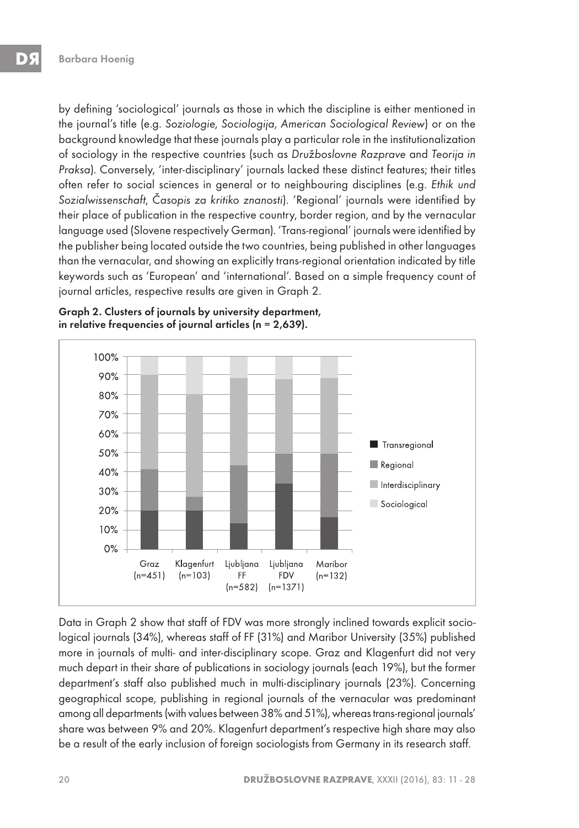by defining 'sociological' journals as those in which the discipline is either mentioned in the journal's title (e.g. Soziologie, Sociologija, American Sociological Review) or on the background knowledge that these journals play a particular role in the institutionalization of sociology in the respective countries (such as Družboslovne Razprave and Teorija in Praksa). Conversely, 'inter-disciplinary' journals lacked these distinct features; their titles often refer to social sciences in general or to neighbouring disciplines (e.g. Ethik und Sozialwissenschaft, Časopis za kritiko znanosti). 'Regional' journals were identified by their place of publication in the respective country, border region, and by the vernacular language used (Slovene respectively German). 'Trans-regional' journals were identified by the publisher being located outside the two countries, being published in other languages than the vernacular, and showing an explicitly trans-regional orientation indicated by title keywords such as 'European' and 'international'. Based on a simple frequency count of journal articles, respective results are given in Graph 2.

Graph 2. Clusters of journals by university department, in relative frequencies of journal articles (n = 2,639).



Data in Graph 2 show that staff of FDV was more strongly inclined towards explicit sociological journals (34%), whereas staff of FF (31%) and Maribor University (35%) published more in journals of multi- and inter-disciplinary scope. Graz and Klagenfurt did not very much depart in their share of publications in sociology journals (each 19%), but the former department's staff also published much in multi-disciplinary journals (23%). Concerning geographical scope, publishing in regional journals of the vernacular was predominant among all departments (with values between 38% and 51%), whereas trans-regional journals' share was between 9% and 20%. Klagenfurt department's respective high share may also be a result of the early inclusion of foreign sociologists from Germany in its research staff.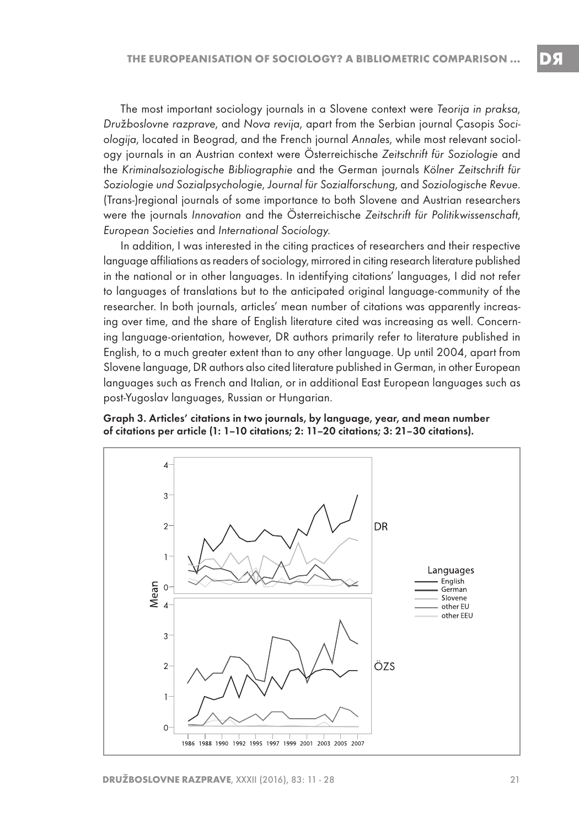The most important sociology journals in a Slovene context were Teorija in praksa, Družboslovne razprave, and Nova revija, apart from the Serbian journal Çasopis Sociologija, located in Beograd, and the French journal Annales, while most relevant sociology journals in an Austrian context were Österreichische Zeitschrift für Soziologie and the Kriminalsoziologische Bibliographie and the German journals Kölner Zeitschrift für Soziologie und Sozialpsychologie, Journal für Sozialforschung, and Soziologische Revue. (Trans-)regional journals of some importance to both Slovene and Austrian researchers were the journals Innovation and the Österreichische Zeitschrift für Politikwissenschaft, European Societies and International Sociology.

In addition, I was interested in the citing practices of researchers and their respective language affiliations as readers of sociology, mirrored in citing research literature published in the national or in other languages. In identifying citations' languages, I did not refer to languages of translations but to the anticipated original language-community of the researcher. In both journals, articles' mean number of citations was apparently increasing over time, and the share of English literature cited was increasing as well. Concerning language-orientation, however, DR authors primarily refer to literature published in English, to a much greater extent than to any other language. Up until 2004, apart from Slovene language, DR authors also cited literature published in German, in other European languages such as French and Italian, or in additional East European languages such as post-Yugoslav languages, Russian or Hungarian.

Graph 3. Articles' citations in two journals, by language, year, and mean number of citations per article (1: 1–10 citations; 2: 11–20 citations; 3: 21–30 citations).

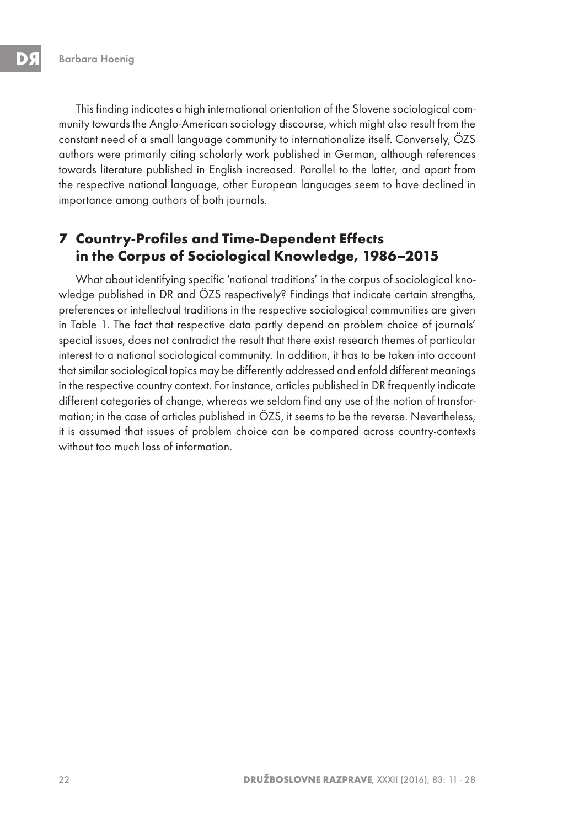This finding indicates a high international orientation of the Slovene sociological community towards the Anglo-American sociology discourse, which might also result from the constant need of a small language community to internationalize itself. Conversely, ÖZS authors were primarily citing scholarly work published in German, although references towards literature published in English increased. Parallel to the latter, and apart from the respective national language, other European languages seem to have declined in importance among authors of both journals.

## **7 Country-Profiles and Time-Dependent Effects in the Corpus of Sociological Knowledge, 1986–2015**

What about identifying specific 'national traditions' in the corpus of sociological knowledge published in DR and ÖZS respectively? Findings that indicate certain strengths, preferences or intellectual traditions in the respective sociological communities are given in Table 1. The fact that respective data partly depend on problem choice of journals' special issues, does not contradict the result that there exist research themes of particular interest to a national sociological community. In addition, it has to be taken into account that similar sociological topics may be differently addressed and enfold different meanings in the respective country context. For instance, articles published in DR frequently indicate different categories of change, whereas we seldom find any use of the notion of transformation; in the case of articles published in ÖZS, it seems to be the reverse. Nevertheless, it is assumed that issues of problem choice can be compared across country-contexts without too much loss of information.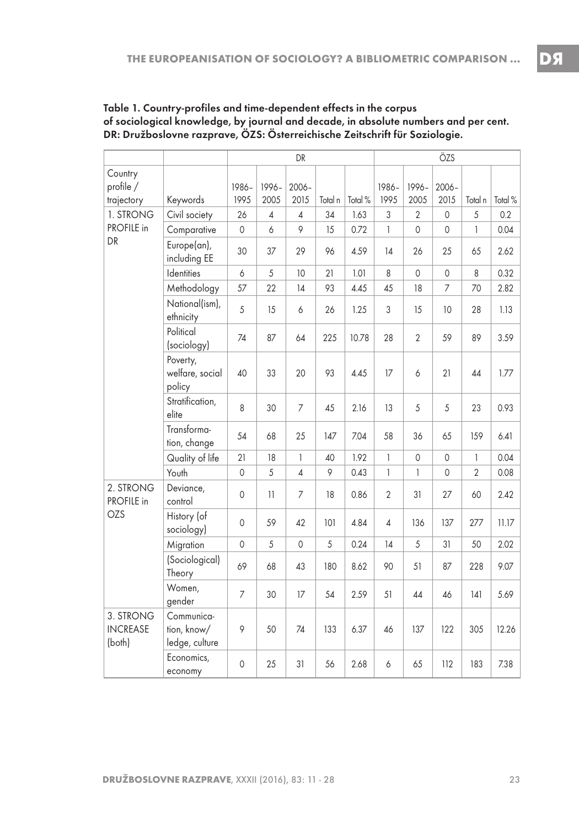|                                        |                                             | DR             |                |                |         | ÖZS     |                |                |                  |                |         |
|----------------------------------------|---------------------------------------------|----------------|----------------|----------------|---------|---------|----------------|----------------|------------------|----------------|---------|
| Country<br>profile /<br>trajectory     | Keywords                                    | 1986-<br>1995  | 1996-<br>2005  | 2006-<br>2015  | Total n | Total % | 1986-<br>1995  | 1996-<br>2005  | $2006 -$<br>2015 | Total n        | Total % |
| 1. STRONG<br>PROFILE in<br>DR          | Civil society                               | 26             | $\overline{4}$ | $\overline{4}$ | 34      | 1.63    | 3              | $\overline{2}$ | $\mathbf 0$      | 5              | 0.2     |
|                                        | Comparative                                 | $\mathbf 0$    | 6              | 9              | 15      | 0.72    | $\mathbf{1}$   | $\mathbf 0$    | $\mathbf 0$      | $\mathbf{1}$   | 0.04    |
|                                        | Europe(an),<br>including EE                 | 30             | 37             | 29             | 96      | 4.59    | 14             | 26             | 25               | 65             | 2.62    |
|                                        | Identities                                  | 6              | 5              | 10             | 21      | 1.01    | 8              | $\mathbf 0$    | 0                | 8              | 0.32    |
|                                        | Methodology                                 | 57             | 22             | 14             | 93      | 4.45    | 45             | 18             | 7                | 70             | 2.82    |
|                                        | National(ism),<br>ethnicity                 | 5              | 15             | 6              | 26      | 1.25    | 3              | 15             | 10               | 28             | 1.13    |
|                                        | Political<br>(sociology)                    | 74             | 87             | 64             | 225     | 10.78   | 28             | $\overline{2}$ | 59               | 89             | 3.59    |
|                                        | Poverty,<br>welfare, social<br>policy       | 40             | 33             | 20             | 93      | 4.45    | 17             | 6              | 21               | 44             | 1.77    |
|                                        | Stratification,<br>elite                    | 8              | 30             | 7              | 45      | 2.16    | 13             | 5              | 5                | 23             | 0.93    |
|                                        | Transforma-<br>tion, change                 | 54             | 68             | 25             | 147     | 7.04    | 58             | 36             | 65               | 159            | 6.41    |
|                                        | Quality of life                             | 21             | 18             | 1              | 40      | 1.92    | 1              | 0              | 0                | 1              | 0.04    |
|                                        | Youth                                       | $\mathbf 0$    | 5              | $\overline{4}$ | 9       | 0.43    | $\mathbf{1}$   | $\mathbf{1}$   | 0                | $\overline{2}$ | 0.08    |
| 2. STRONG<br>PROFILE in<br>OZS         | Deviance,<br>control                        | $\mathbf 0$    | 11             | 7              | 18      | 0.86    | $\overline{2}$ | 31             | 27               | 60             | 2.42    |
|                                        | History (of<br>sociology)                   | $\mathbf{0}$   | 59             | 42             | 101     | 4.84    | 4              | 136            | 137              | 277            | 11.17   |
|                                        | Migration                                   | $\mathbf 0$    | 5              | $\mathbf 0$    | 5       | 0.24    | 14             | 5              | 31               | 50             | 2.02    |
|                                        | (Sociological)<br>Theory                    | 69             | 68             | 43             | 180     | 8.62    | 90             | 51             | 87               | 228            | 9.07    |
|                                        | Women,<br>gender                            | $\overline{7}$ | 30             | 17             | 54      | 2.59    | 51             | 44             | 46               | 141            | 5.69    |
| 3. STRONG<br><b>INCREASE</b><br>(both) | Communica-<br>tion, know/<br>ledge, culture | 9              | 50             | 74             | 133     | 6.37    | 46             | 137            | 122              | 305            | 12.26   |
|                                        | Economics,<br>economy                       | $\mathbf{0}$   | 25             | 31             | 56      | 2.68    | 6              | 65             | 112              | 183            | 7.38    |

Table 1. Country-profiles and time-dependent effects in the corpus of sociological knowledge, by journal and decade, in absolute numbers and per cent. DR: Družboslovne razprave, ÖZS: Österreichische Zeitschrift für Soziologie.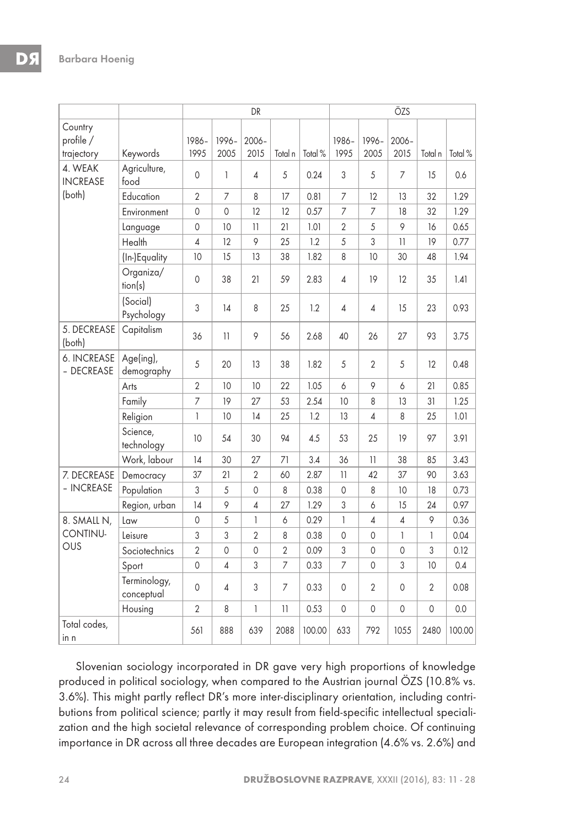|                                      |                            | DR             |               |                  |                          | ÖZS     |                |                |                |                |         |
|--------------------------------------|----------------------------|----------------|---------------|------------------|--------------------------|---------|----------------|----------------|----------------|----------------|---------|
| Country<br>profile /<br>trajectory   | Keywords                   | 1986-<br>1995  | 1996-<br>2005 | $2006 -$<br>2015 | Total n                  | Total % | 1986-<br>1995  | 1996-<br>2005  | 2006-<br>2015  | Total n        | Total % |
| 4. WEAK<br><b>INCREASE</b><br>(both) | Agriculture,<br>food       | $\mathbf{0}$   | 1             | 4                | 5                        | 0.24    | 3              | 5              | 7              | 15             | 0.6     |
|                                      | Education                  | $\sqrt{2}$     | 7             | 8                | 17                       | 0.81    | 7              | 12             | 13             | 32             | 1.29    |
|                                      | Environment                | 0              | 0             | 12               | 12                       | 0.57    | 7              | 7              | 18             | 32             | 1.29    |
|                                      | Language                   | 0              | 10            | 11               | 21                       | 1.01    | $\overline{2}$ | 5              | 9              | 16             | 0.65    |
|                                      | Health                     | $\overline{4}$ | 12            | 9                | 25                       | 1.2     | 5              | 3              | 11             | 19             | 0.77    |
|                                      | (In-)Equality              | 10             | 15            | 13               | 38                       | 1.82    | 8              | 10             | 30             | 48             | 1.94    |
|                                      | Organiza/<br>tion(s)       | $\mathbf 0$    | 38            | 21               | 59                       | 2.83    | 4              | 19             | 12             | 35             | 1.41    |
|                                      | (Social)<br>Psychology     | 3              | 14            | 8                | 25                       | 1.2     | 4              | 4              | 15             | 23             | 0.93    |
| 5. DECREASE<br>(both)                | Capitalism                 | 36             | 11            | 9                | 56                       | 2.68    | 40             | 26             | 27             | 93             | 3.75    |
| 6. INCREASE<br>- DECREASE            | Age(ing),<br>demography    | 5              | 20            | 13               | 38                       | 1.82    | 5              | $\overline{2}$ | 5              | 12             | 0.48    |
|                                      | Arts                       | $\overline{2}$ | 10            | 10               | 22                       | 1.05    | 6              | 9              | 6              | 21             | 0.85    |
|                                      | Family                     | 7              | 19            | 27               | 53                       | 2.54    | 10             | 8              | 13             | 31             | 1.25    |
|                                      | Religion                   | 1              | 10            | 14               | 25                       | 1.2     | 13             | 4              | 8              | 25             | 1.01    |
|                                      | Science,<br>technology     | 10             | 54            | 30               | 94                       | 4.5     | 53             | 25             | 19             | 97             | 3.91    |
|                                      | Work, labour               | 14             | 30            | 27               | 71                       | 3.4     | 36             | 11             | 38             | 85             | 3.43    |
| 7. DECREASE<br>- INCREASE            | Democracy                  | 37             | 21            | $\overline{2}$   | 60                       | 2.87    | 11             | 42             | 37             | 90             | 3.63    |
|                                      | Population                 | 3              | 5             | 0                | 8                        | 0.38    | 0              | 8              | 10             | 18             | 0.73    |
|                                      | Region, urban              | 14             | 9             | 4                | 27                       | 1.29    | 3              | 6              | 15             | 24             | 0.97    |
| 8. SMALL N,<br>CONTINU-<br>OUS       | Law                        | 0              | 5             | $\mathbf{1}$     | 6                        | 0.29    | 1              | 4              | 4              | 9              | 0.36    |
|                                      | Leisure                    | 3              | 3             | $\overline{2}$   | 8                        | 0.38    | $\mathbf 0$    | 0              | 1              | $\mathbf{1}$   | 0.04    |
|                                      | Sociotechnics              | $\overline{2}$ | $\mathbf 0$   | $\mathbf 0$      | $\overline{2}$           | 0.09    | 3              | 0              | $\overline{0}$ | 3              | 0.12    |
|                                      | Sport                      | $\mathbf 0$    | 4             | 3                | 7                        | 0.33    | $\overline{7}$ | 0              | 3              | 10             | 0.4     |
|                                      | Terminology,<br>conceptual | $\mathbf 0$    | 4             | 3                | 7                        | 0.33    | 0              | 2              | 0              | $\overline{2}$ | 0.08    |
|                                      | Housing                    | $\overline{2}$ | 8             | 1                | $\overline{\mathcal{L}}$ | 0.53    | 0              | 0              | 0              | 0              | 0.0     |
| Total codes,<br>in n                 |                            | 561            | 888           | 639              | 2088                     | 100.00  | 633            | 792            | 1055           | 2480           | 100.00  |

Slovenian sociology incorporated in DR gave very high proportions of knowledge produced in political sociology, when compared to the Austrian journal ÖZS (10.8% vs. 3.6%). This might partly reflect DR's more inter-disciplinary orientation, including contributions from political science; partly it may result from field-specific intellectual specialization and the high societal relevance of corresponding problem choice. Of continuing importance in DR across all three decades are European integration (4.6% vs. 2.6%) and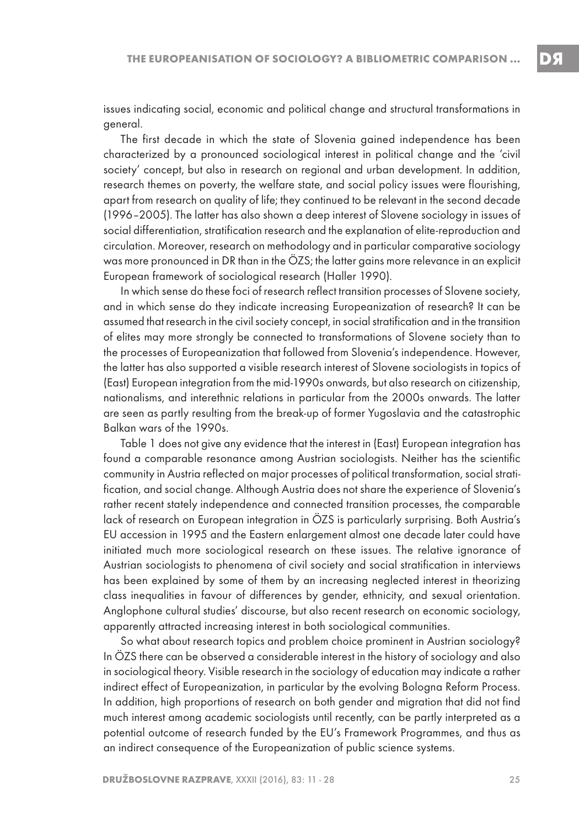issues indicating social, economic and political change and structural transformations in general.

The first decade in which the state of Slovenia gained independence has been characterized by a pronounced sociological interest in political change and the 'civil society' concept, but also in research on regional and urban development. In addition, research themes on poverty, the welfare state, and social policy issues were flourishing, apart from research on quality of life; they continued to be relevant in the second decade (1996–2005). The latter has also shown a deep interest of Slovene sociology in issues of social differentiation, stratification research and the explanation of elite-reproduction and circulation. Moreover, research on methodology and in particular comparative sociology was more pronounced in DR than in the ÖZS; the latter gains more relevance in an explicit European framework of sociological research (Haller 1990).

In which sense do these foci of research reflect transition processes of Slovene society, and in which sense do they indicate increasing Europeanization of research? It can be assumed that research in the civil society concept, in social stratification and in the transition of elites may more strongly be connected to transformations of Slovene society than to the processes of Europeanization that followed from Slovenia's independence. However, the latter has also supported a visible research interest of Slovene sociologists in topics of (East) European integration from the mid-1990s onwards, but also research on citizenship, nationalisms, and interethnic relations in particular from the 2000s onwards. The latter are seen as partly resulting from the break-up of former Yugoslavia and the catastrophic Balkan wars of the 1990s.

Table 1 does not give any evidence that the interest in (East) European integration has found a comparable resonance among Austrian sociologists. Neither has the scientific community in Austria reflected on major processes of political transformation, social stratification, and social change. Although Austria does not share the experience of Slovenia's rather recent stately independence and connected transition processes, the comparable lack of research on European integration in ÖZS is particularly surprising. Both Austria's EU accession in 1995 and the Eastern enlargement almost one decade later could have initiated much more sociological research on these issues. The relative ignorance of Austrian sociologists to phenomena of civil society and social stratification in interviews has been explained by some of them by an increasing neglected interest in theorizing class inequalities in favour of differences by gender, ethnicity, and sexual orientation. Anglophone cultural studies' discourse, but also recent research on economic sociology, apparently attracted increasing interest in both sociological communities.

So what about research topics and problem choice prominent in Austrian sociology? In ÖZS there can be observed a considerable interest in the history of sociology and also in sociological theory. Visible research in the sociology of education may indicate a rather indirect effect of Europeanization, in particular by the evolving Bologna Reform Process. In addition, high proportions of research on both gender and migration that did not find much interest among academic sociologists until recently, can be partly interpreted as a potential outcome of research funded by the EU's Framework Programmes, and thus as an indirect consequence of the Europeanization of public science systems.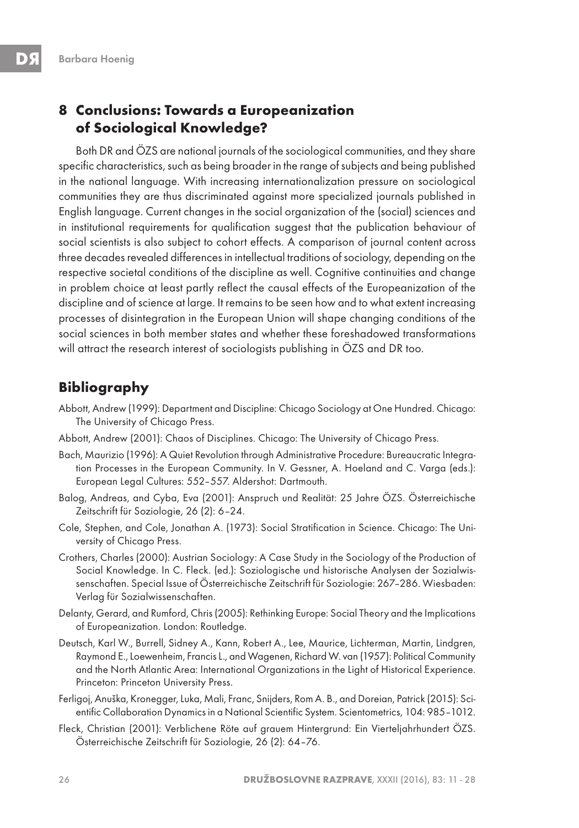## **8 Conclusions: Towards a Europeanization of Sociological Knowledge?**

Both DR and ÖZS are national journals of the sociological communities, and they share specific characteristics, such as being broader in the range of subjects and being published in the national language. With increasing internationalization pressure on sociological communities they are thus discriminated against more specialized journals published in English language. Current changes in the social organization of the (social) sciences and in institutional requirements for qualification suggest that the publication behaviour of social scientists is also subject to cohort effects. A comparison of journal content across three decades revealed differences in intellectual traditions of sociology, depending on the respective societal conditions of the discipline as well. Cognitive continuities and change in problem choice at least partly reflect the causal effects of the Europeanization of the discipline and of science at large. It remains to be seen how and to what extent increasing processes of disintegration in the European Union will shape changing conditions of the social sciences in both member states and whether these foreshadowed transformations will attract the research interest of sociologists publishing in ÖZS and DR too.

## **Bibliography**

- Abbott, Andrew (1999): Department and Discipline: Chicago Sociology at One Hundred. Chicago: The University of Chicago Press.
- Abbott, Andrew (2001): Chaos of Disciplines. Chicago: The University of Chicago Press.
- Bach, Maurizio (1996): A Quiet Revolution through Administrative Procedure: Bureaucratic Integration Processes in the European Community. In V. Gessner, A. Hoeland and C. Varga (eds.): European Legal Cultures: 552–557. Aldershot: Dartmouth.
- Balog, Andreas, and Cyba, Eva (2001): Anspruch und Realität: 25 Jahre ÖZS. Österreichische Zeitschrift für Soziologie, 26 (2): 6–24.
- Cole, Stephen, and Cole, Jonathan A. (1973): Social Stratification in Science. Chicago: The University of Chicago Press.
- Crothers, Charles (2000): Austrian Sociology: A Case Study in the Sociology of the Production of Social Knowledge. In C. Fleck. (ed.): Soziologische und historische Analysen der Sozialwissenschaften. Special Issue of Österreichische Zeitschrift für Soziologie: 267–286. Wiesbaden: Verlag für Sozialwissenschaften.
- Delanty, Gerard, and Rumford, Chris (2005): Rethinking Europe: Social Theory and the Implications of Europeanization. London: Routledge.
- Deutsch, Karl W., Burrell, Sidney A., Kann, Robert A., Lee, Maurice, Lichterman, Martin, Lindgren, Raymond E., Loewenheim, Francis L., and Wagenen, Richard W. van (1957): Political Community and the North Atlantic Area: International Organizations in the Light of Historical Experience. Princeton: Princeton University Press.
- Ferligoj, Anuška, Kronegger, Luka, Mali, Franc, Snijders, Rom A. B., and Doreian, Patrick (2015): Scientific Collaboration Dynamics in a National Scientific System. Scientometrics, 104: 985–1012.
- Fleck, Christian (2001): Verblichene Röte auf grauem Hintergrund: Ein Vierteljahrhundert ÖZS. Österreichische Zeitschrift für Soziologie, 26 (2): 64–76.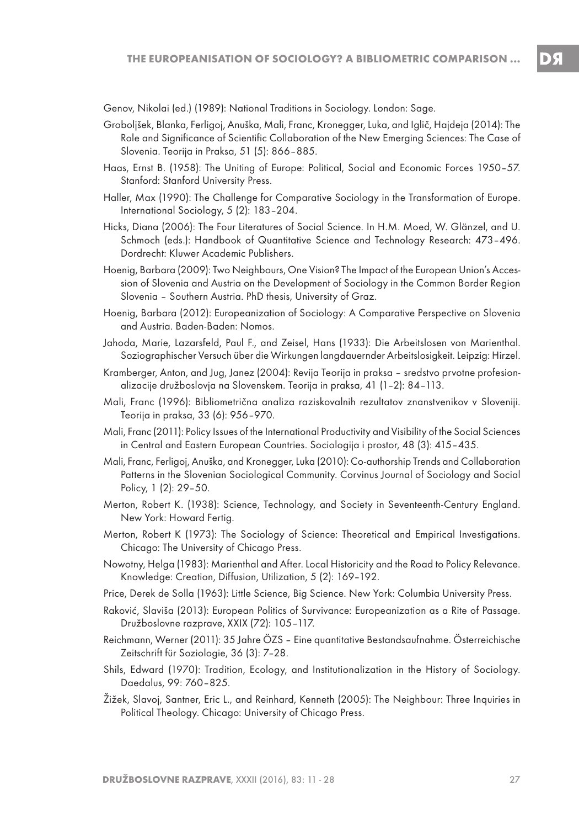Genov, Nikolai (ed.) (1989): National Traditions in Sociology. London: Sage.

- Groboljšek, Blanka, Ferligoj, Anuška, Mali, Franc, Kronegger, Luka, and Iglič, Hajdeja (2014): The Role and Significance of Scientific Collaboration of the New Emerging Sciences: The Case of Slovenia. Teorija in Praksa, 51 (5): 866–885.
- Haas, Ernst B. (1958): The Uniting of Europe: Political, Social and Economic Forces 1950–57. Stanford: Stanford University Press.
- Haller, Max (1990): The Challenge for Comparative Sociology in the Transformation of Europe. International Sociology, 5 (2): 183–204.
- Hicks, Diana (2006): The Four Literatures of Social Science. In H.M. Moed, W. Glänzel, and U. Schmoch (eds.): Handbook of Quantitative Science and Technology Research: 473–496. Dordrecht: Kluwer Academic Publishers.
- Hoenig, Barbara (2009): Two Neighbours, One Vision? The Impact of the European Union's Accession of Slovenia and Austria on the Development of Sociology in the Common Border Region Slovenia – Southern Austria. PhD thesis, University of Graz.
- Hoenig, Barbara (2012): Europeanization of Sociology: A Comparative Perspective on Slovenia and Austria. Baden-Baden: Nomos.
- Jahoda, Marie, Lazarsfeld, Paul F., and Zeisel, Hans (1933): Die Arbeitslosen von Marienthal. Soziographischer Versuch über die Wirkungen langdauernder Arbeitslosigkeit. Leipzig: Hirzel.
- Kramberger, Anton, and Jug, Janez (2004): Revija Teorija in praksa sredstvo prvotne profesionalizacije družboslovja na Slovenskem. Teorija in praksa, 41 (1–2): 84–113.
- Mali, Franc (1996): Bibliometrična analiza raziskovalnih rezultatov znanstvenikov v Sloveniji. Teorija in praksa, 33 (6): 956–970.
- Mali, Franc (2011): Policy Issues of the International Productivity and Visibility of the Social Sciences in Central and Eastern European Countries. Sociologija i prostor, 48 (3): 415–435.
- Mali, Franc, Ferligoj, Anuška, and Kronegger, Luka (2010): Co-authorship Trends and Collaboration Patterns in the Slovenian Sociological Community. Corvinus Journal of Sociology and Social Policy, 1 (2): 29–50.
- Merton, Robert K. (1938): Science, Technology, and Society in Seventeenth-Century England. New York: Howard Fertig.
- Merton, Robert K (1973): The Sociology of Science: Theoretical and Empirical Investigations. Chicago: The University of Chicago Press.
- Nowotny, Helga (1983): Marienthal and After. Local Historicity and the Road to Policy Relevance. Knowledge: Creation, Diffusion, Utilization, 5 (2): 169–192.
- Price, Derek de Solla (1963): Little Science, Big Science. New York: Columbia University Press.
- Raković, Slaviša (2013): European Politics of Survivance: Europeanization as a Rite of Passage. Družboslovne razprave, XXIX (72): 105–117.
- Reichmann, Werner (2011): 35 Jahre ÖZS Eine quantitative Bestandsaufnahme. Österreichische Zeitschrift für Soziologie, 36 (3): 7–28.
- Shils, Edward (1970): Tradition, Ecology, and Institutionalization in the History of Sociology. Daedalus, 99: 760–825.
- Žižek, Slavoj, Santner, Eric L., and Reinhard, Kenneth (2005): The Neighbour: Three Inquiries in Political Theology. Chicago: University of Chicago Press.